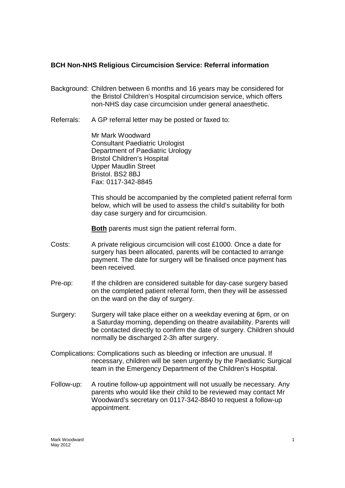# **BCH Non-NHS Religious Circumcision Service: Referral information**

- Background: Children between 6 months and 16 years may be considered for the Bristol Children's Hospital circumcision service, which offers non-NHS day case circumcision under general anaesthetic.
- Referrals: A GP referral letter may be posted or faxed to:

Mr Mark Woodward Consultant Paediatric Urologist Department of Paediatric Urology Bristol Children's Hospital Upper Maudlin Street Bristol. BS2 8BJ Fax: 0117-342-8845

This should be accompanied by the completed patient referral form below, which will be used to assess the child's suitability for both day case surgery and for circumcision.

**Both** parents must sign the patient referral form.

- Costs: A private religious circumcision will cost £1000. Once a date for surgery has been allocated, parents will be contacted to arrange payment. The date for surgery will be finalised once payment has been received.
- Pre-op: If the children are considered suitable for day-case surgery based on the completed patient referral form, then they will be assessed on the ward on the day of surgery.
- Surgery: Surgery will take place either on a weekday evening at 6pm, or on a Saturday morning, depending on theatre availability. Parents will be contacted directly to confirm the date of surgery. Children should normally be discharged 2-3h after surgery.
- Complications: Complications such as bleeding or infection are unusual. If necessary, children will be seen urgently by the Paediatric Surgical team in the Emergency Department of the Children's Hospital.
- Follow-up: A routine follow-up appointment will not usually be necessary. Any parents who would like their child to be reviewed may contact Mr Woodward's secretary on 0117-342-8840 to request a follow-up appointment.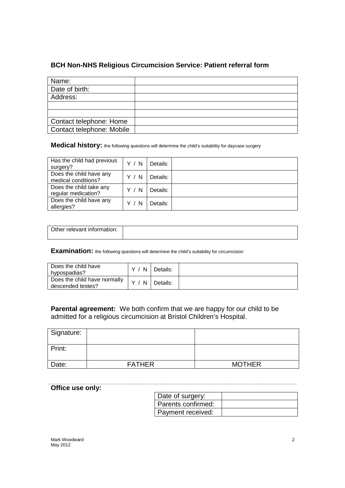# **BCH Non-NHS Religious Circumcision Service: Patient referral form**

| Name:                     |  |
|---------------------------|--|
| Date of birth:            |  |
| Address:                  |  |
|                           |  |
|                           |  |
| Contact telephone: Home   |  |
| Contact telephone: Mobile |  |

Medical history: the following questions will determine the child's suitability for daycase surgery

| Has the child had previous<br>surgery?         | Y / N | Details: |  |
|------------------------------------------------|-------|----------|--|
| Does the child have any<br>medical conditions? | Y / N | Details: |  |
| Does the child take any<br>regular medication? | Y / N | Details: |  |
| Does the child have any<br>allergies?          | - N   | Details: |  |

| Other relevant information: |  |
|-----------------------------|--|
|                             |  |

**Examination:** the following questions will determine the child's suitability for circumcision

| Does the child have<br>hvpospadias?               | N | Details: |  |
|---------------------------------------------------|---|----------|--|
| Does the child have normally<br>descended testes? | N | Details: |  |

**Parental agreement:** We both confirm that we are happy for our child to be admitted for a religious circumcision at Bristol Children's Hospital.

| Signature: |               |               |
|------------|---------------|---------------|
| Print:     |               |               |
| Date:      | <b>FATHER</b> | <b>MOTHER</b> |

# **Office use only:**

| Date of surgery:     |  |
|----------------------|--|
| l Parents confirmed: |  |
| Payment received:    |  |